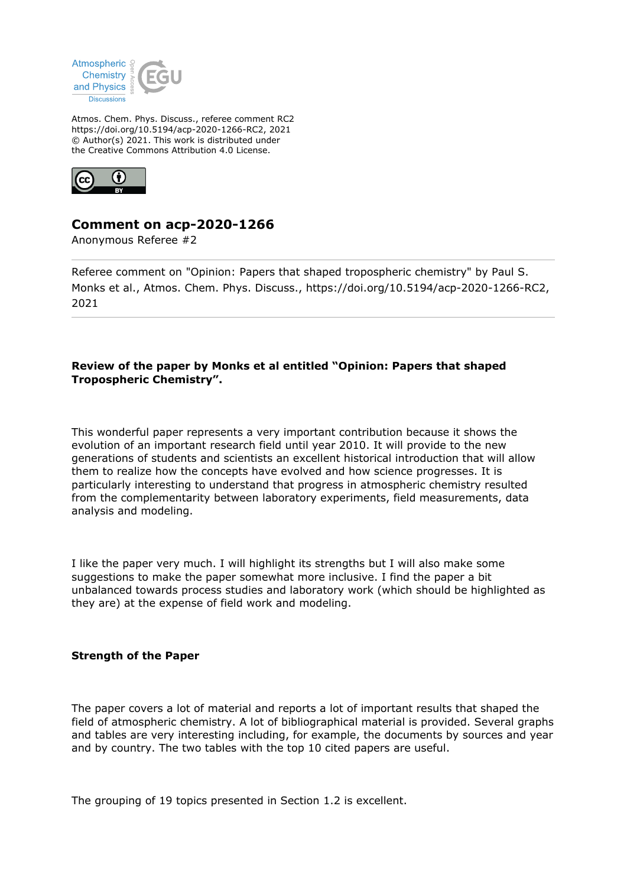

Atmos. Chem. Phys. Discuss., referee comment RC2 https://doi.org/10.5194/acp-2020-1266-RC2, 2021 © Author(s) 2021. This work is distributed under the Creative Commons Attribution 4.0 License.



# **Comment on acp-2020-1266**

Anonymous Referee #2

Referee comment on "Opinion: Papers that shaped tropospheric chemistry" by Paul S. Monks et al., Atmos. Chem. Phys. Discuss., https://doi.org/10.5194/acp-2020-1266-RC2, 2021

## **Review of the paper by Monks et al entitled "Opinion: Papers that shaped Tropospheric Chemistry".**

This wonderful paper represents a very important contribution because it shows the evolution of an important research field until year 2010. It will provide to the new generations of students and scientists an excellent historical introduction that will allow them to realize how the concepts have evolved and how science progresses. It is particularly interesting to understand that progress in atmospheric chemistry resulted from the complementarity between laboratory experiments, field measurements, data analysis and modeling.

I like the paper very much. I will highlight its strengths but I will also make some suggestions to make the paper somewhat more inclusive. I find the paper a bit unbalanced towards process studies and laboratory work (which should be highlighted as they are) at the expense of field work and modeling.

## **Strength of the Paper**

The paper covers a lot of material and reports a lot of important results that shaped the field of atmospheric chemistry. A lot of bibliographical material is provided. Several graphs and tables are very interesting including, for example, the documents by sources and year and by country. The two tables with the top 10 cited papers are useful.

The grouping of 19 topics presented in Section 1.2 is excellent.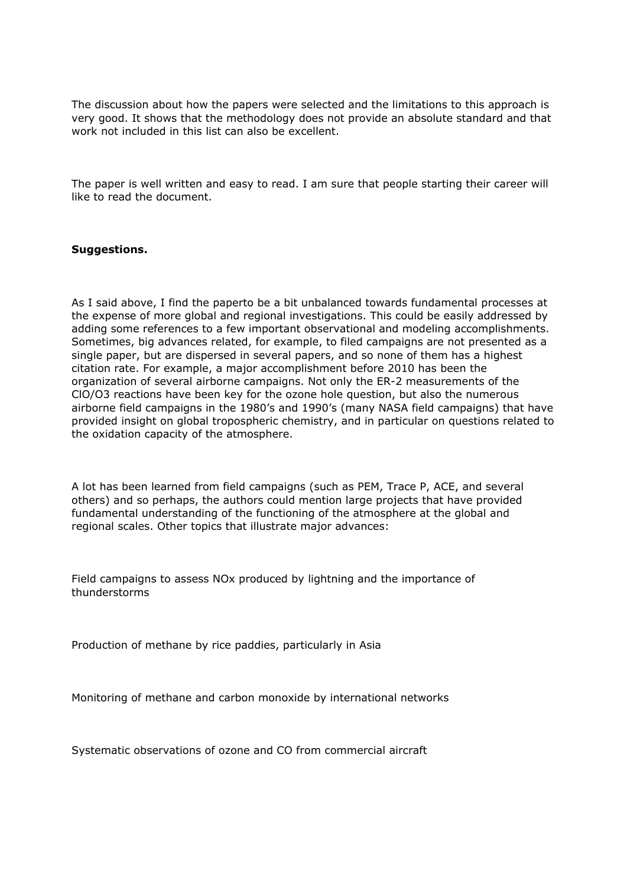The discussion about how the papers were selected and the limitations to this approach is very good. It shows that the methodology does not provide an absolute standard and that work not included in this list can also be excellent.

The paper is well written and easy to read. I am sure that people starting their career will like to read the document.

#### **Suggestions.**

As I said above, I find the paperto be a bit unbalanced towards fundamental processes at the expense of more global and regional investigations. This could be easily addressed by adding some references to a few important observational and modeling accomplishments. Sometimes, big advances related, for example, to filed campaigns are not presented as a single paper, but are dispersed in several papers, and so none of them has a highest citation rate. For example, a major accomplishment before 2010 has been the organization of several airborne campaigns. Not only the ER-2 measurements of the ClO/O3 reactions have been key for the ozone hole question, but also the numerous airborne field campaigns in the 1980's and 1990's (many NASA field campaigns) that have provided insight on global tropospheric chemistry, and in particular on questions related to the oxidation capacity of the atmosphere.

A lot has been learned from field campaigns (such as PEM, Trace P, ACE, and several others) and so perhaps, the authors could mention large projects that have provided fundamental understanding of the functioning of the atmosphere at the global and regional scales. Other topics that illustrate major advances:

Field campaigns to assess NOx produced by lightning and the importance of thunderstorms

Production of methane by rice paddies, particularly in Asia

Monitoring of methane and carbon monoxide by international networks

Systematic observations of ozone and CO from commercial aircraft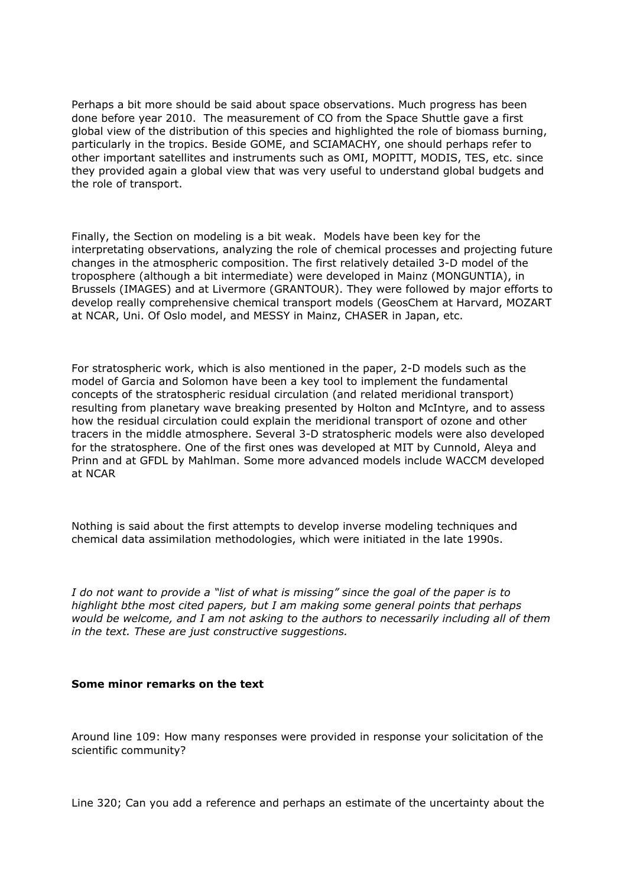Perhaps a bit more should be said about space observations. Much progress has been done before year 2010. The measurement of CO from the Space Shuttle gave a first global view of the distribution of this species and highlighted the role of biomass burning, particularly in the tropics. Beside GOME, and SCIAMACHY, one should perhaps refer to other important satellites and instruments such as OMI, MOPITT, MODIS, TES, etc. since they provided again a global view that was very useful to understand global budgets and the role of transport.

Finally, the Section on modeling is a bit weak. Models have been key for the interpretating observations, analyzing the role of chemical processes and projecting future changes in the atmospheric composition. The first relatively detailed 3-D model of the troposphere (although a bit intermediate) were developed in Mainz (MONGUNTIA), in Brussels (IMAGES) and at Livermore (GRANTOUR). They were followed by major efforts to develop really comprehensive chemical transport models (GeosChem at Harvard, MOZART at NCAR, Uni. Of Oslo model, and MESSY in Mainz, CHASER in Japan, etc.

For stratospheric work, which is also mentioned in the paper, 2-D models such as the model of Garcia and Solomon have been a key tool to implement the fundamental concepts of the stratospheric residual circulation (and related meridional transport) resulting from planetary wave breaking presented by Holton and McIntyre, and to assess how the residual circulation could explain the meridional transport of ozone and other tracers in the middle atmosphere. Several 3-D stratospheric models were also developed for the stratosphere. One of the first ones was developed at MIT by Cunnold, Aleya and Prinn and at GFDL by Mahlman. Some more advanced models include WACCM developed at NCAR

Nothing is said about the first attempts to develop inverse modeling techniques and chemical data assimilation methodologies, which were initiated in the late 1990s.

*I do not want to provide a "list of what is missing" since the goal of the paper is to highlight bthe most cited papers, but I am making some general points that perhaps would be welcome, and I am not asking to the authors to necessarily including all of them in the text. These are just constructive suggestions.*

#### **Some minor remarks on the text**

Around line 109: How many responses were provided in response your solicitation of the scientific community?

Line 320; Can you add a reference and perhaps an estimate of the uncertainty about the